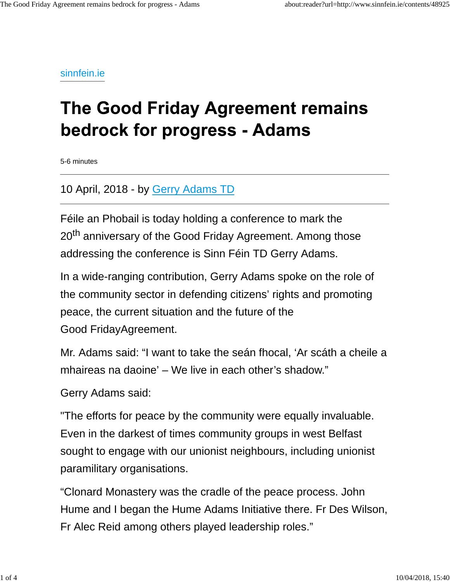sinnfein.ie

## **The Good Friday Agreement remains bedrock for progress - Adams**

5-6 minutes

10 April, 2018 - by Gerry Adams TD

Féile an Phobail is today holding a conference to mark the 20<sup>th</sup> anniversary of the Good Friday Agreement. Among those addressing the conference is Sinn Féin TD Gerry Adams.

In a wide-ranging contribution, Gerry Adams spoke on the role of the community sector in defending citizens' rights and promoting peace, the current situation and the future of the Good FridayAgreement.

Mr. Adams said: "I want to take the seán fhocal, 'Ar scáth a cheile a mhaireas na daoine' – We live in each other's shadow."

Gerry Adams said:

"The efforts for peace by the community were equally invaluable. Even in the darkest of times community groups in west Belfast sought to engage with our unionist neighbours, including unionist paramilitary organisations.

"Clonard Monastery was the cradle of the peace process. John Hume and I began the Hume Adams Initiative there. Fr Des Wilson, Fr Alec Reid among others played leadership roles."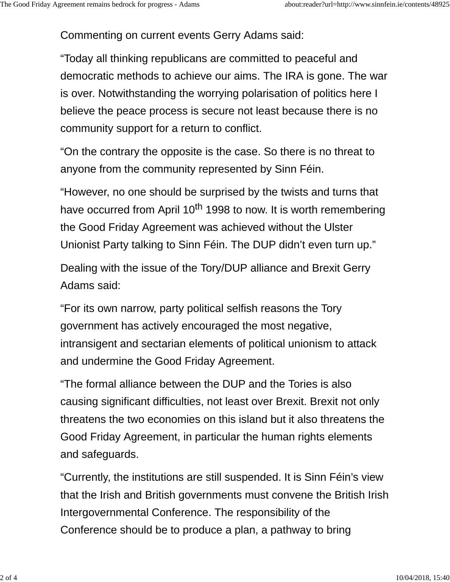Commenting on current events Gerry Adams said:

"Today all thinking republicans are committed to peaceful and democratic methods to achieve our aims. The IRA is gone. The war is over. Notwithstanding the worrying polarisation of politics here I believe the peace process is secure not least because there is no community support for a return to conflict.

"On the contrary the opposite is the case. So there is no threat to anyone from the community represented by Sinn Féin.

"However, no one should be surprised by the twists and turns that have occurred from April 10<sup>th</sup> 1998 to now. It is worth remembering the Good Friday Agreement was achieved without the Ulster Unionist Party talking to Sinn Féin. The DUP didn't even turn up."

Dealing with the issue of the Tory/DUP alliance and Brexit Gerry Adams said:

"For its own narrow, party political selfish reasons the Tory government has actively encouraged the most negative, intransigent and sectarian elements of political unionism to attack and undermine the Good Friday Agreement.

"The formal alliance between the DUP and the Tories is also causing significant difficulties, not least over Brexit. Brexit not only threatens the two economies on this island but it also threatens the Good Friday Agreement, in particular the human rights elements and safeguards.

"Currently, the institutions are still suspended. It is Sinn Féin's view that the Irish and British governments must convene the British Irish Intergovernmental Conference. The responsibility of the Conference should be to produce a plan, a pathway to bring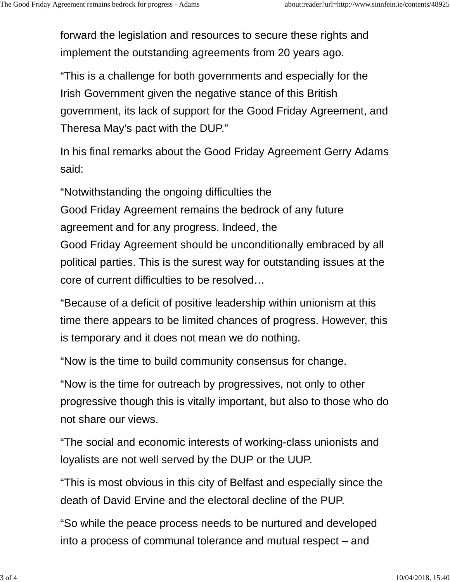forward the legislation and resources to secure these rights and implement the outstanding agreements from 20 years ago.

"This is a challenge for both governments and especially for the Irish Government given the negative stance of this British government, its lack of support for the Good Friday Agreement, and Theresa May's pact with the DUP."

In his final remarks about the Good Friday Agreement Gerry Adams said:

"Notwithstanding the ongoing difficulties the

Good Friday Agreement remains the bedrock of any future agreement and for any progress. Indeed, the Good Friday Agreement should be unconditionally embraced by all political parties. This is the surest way for outstanding issues at the core of current difficulties to be resolved…

"Because of a deficit of positive leadership within unionism at this time there appears to be limited chances of progress. However, this is temporary and it does not mean we do nothing.

"Now is the time to build community consensus for change.

"Now is the time for outreach by progressives, not only to other progressive though this is vitally important, but also to those who do not share our views.

"The social and economic interests of working-class unionists and loyalists are not well served by the DUP or the UUP.

"This is most obvious in this city of Belfast and especially since the death of David Ervine and the electoral decline of the PUP.

"So while the peace process needs to be nurtured and developed into a process of communal tolerance and mutual respect – and